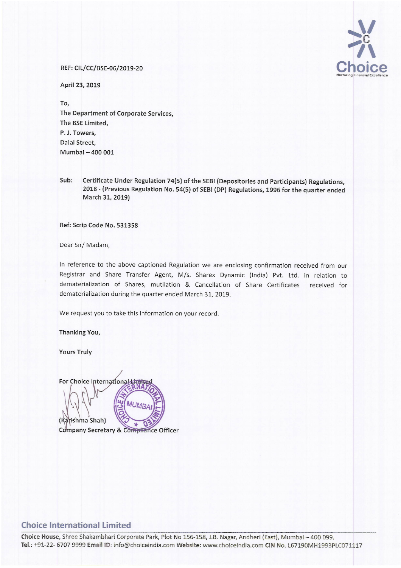## $\sqrt{ }$ **PC** Choi Nurturing Financial Excelle

## REF: CIL/CC/BSE-06/2019-20

April 23, 2019

To, The Department of Corporate Services, The BSE Limited, P. J. Towers, Dalal Street, Mumbai - 400 001

Sub: Certificate Under Regulation 74(5) of the SEBI (Depositories and Participants) Regulations, <sup>2018</sup> - (Previous Regulation No. 54(5) of SEBI (DP) Regulations, <sup>1996</sup> for the quarter ended March 31, 2019)

Ref: Scrip Code No. 531358

Dear Sir/ Madam,

In reference to the above captioned Regulation we are enclosing confirmation received from our Registrar and Share Transfer Agent, M/s. Sharex Dynamic (India) Pvt. Ltd. in relation to dematerialization of Shares, mutilation & Cancellation of Share Certificates received for dematerialization during the quarter ended March 31, 2019.

We request you to take this information on your record.

Thanking You,

Yours Truly

For Choice International+ (Karishma Shah) **Company Secretary & Compliance Officer** 

## Choice International Limited

Choice House, Shree Shakambhari Corporate Park, Plot No 156-158, J.B. Nagar, Andheri (East), Mumbai - 400 099. Tel.: +91-22- 6707 9999 Email ID: info@choiceindia.com Website: www.choiceindia.com CIN No. L67190MH1993PLC071117